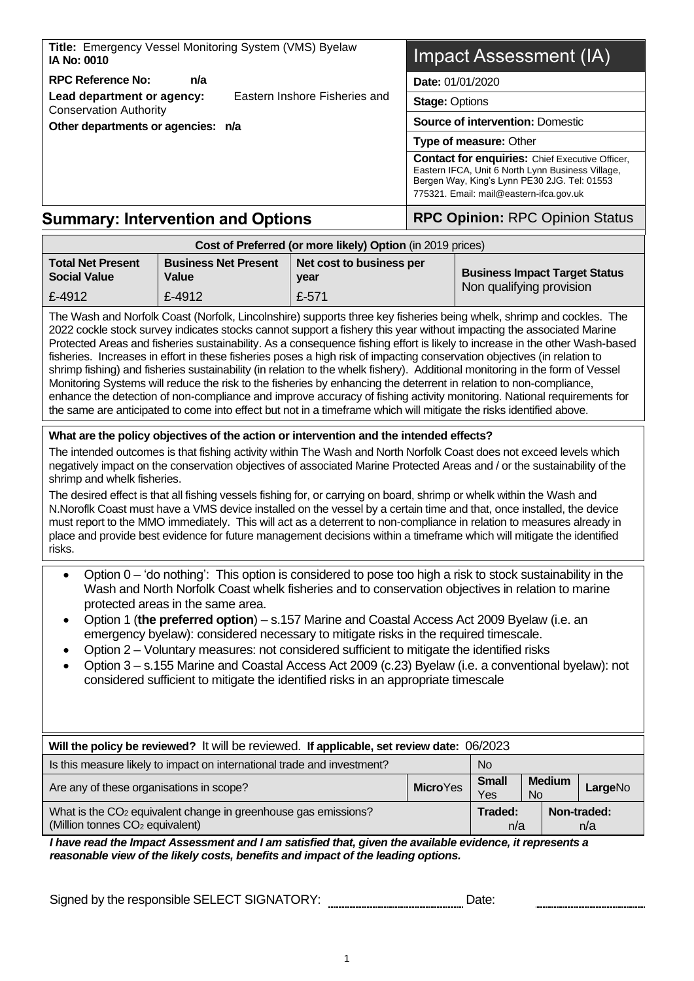| Title: Emergency Vessel Monitoring System (VMS) Byelaw<br><b>IA No: 0010</b>                                                                                                                                                                                                                                                                                                                                                                                                                                                                                                                                                                                                                                                                                                                                                                                                           |                                                                                           |                                                            | Impact Assessment (IA)                  |                                                                                                                                                                                                                                                                                                                                                                                                                                                                                                                                                                                                                                                                                                                                                      |  |  |
|----------------------------------------------------------------------------------------------------------------------------------------------------------------------------------------------------------------------------------------------------------------------------------------------------------------------------------------------------------------------------------------------------------------------------------------------------------------------------------------------------------------------------------------------------------------------------------------------------------------------------------------------------------------------------------------------------------------------------------------------------------------------------------------------------------------------------------------------------------------------------------------|-------------------------------------------------------------------------------------------|------------------------------------------------------------|-----------------------------------------|------------------------------------------------------------------------------------------------------------------------------------------------------------------------------------------------------------------------------------------------------------------------------------------------------------------------------------------------------------------------------------------------------------------------------------------------------------------------------------------------------------------------------------------------------------------------------------------------------------------------------------------------------------------------------------------------------------------------------------------------------|--|--|
| <b>RPC Reference No:</b><br>n/a<br>Eastern Inshore Fisheries and<br>Lead department or agency:                                                                                                                                                                                                                                                                                                                                                                                                                                                                                                                                                                                                                                                                                                                                                                                         |                                                                                           |                                                            | Date: 01/01/2020                        |                                                                                                                                                                                                                                                                                                                                                                                                                                                                                                                                                                                                                                                                                                                                                      |  |  |
|                                                                                                                                                                                                                                                                                                                                                                                                                                                                                                                                                                                                                                                                                                                                                                                                                                                                                        |                                                                                           |                                                            | <b>Stage: Options</b>                   |                                                                                                                                                                                                                                                                                                                                                                                                                                                                                                                                                                                                                                                                                                                                                      |  |  |
| <b>Conservation Authority</b><br>Other departments or agencies: n/a                                                                                                                                                                                                                                                                                                                                                                                                                                                                                                                                                                                                                                                                                                                                                                                                                    |                                                                                           |                                                            | <b>Source of intervention: Domestic</b> |                                                                                                                                                                                                                                                                                                                                                                                                                                                                                                                                                                                                                                                                                                                                                      |  |  |
|                                                                                                                                                                                                                                                                                                                                                                                                                                                                                                                                                                                                                                                                                                                                                                                                                                                                                        |                                                                                           |                                                            |                                         | Type of measure: Other                                                                                                                                                                                                                                                                                                                                                                                                                                                                                                                                                                                                                                                                                                                               |  |  |
|                                                                                                                                                                                                                                                                                                                                                                                                                                                                                                                                                                                                                                                                                                                                                                                                                                                                                        |                                                                                           |                                                            |                                         | <b>Contact for enquiries: Chief Executive Officer,</b><br>Eastern IFCA, Unit 6 North Lynn Business Village,<br>Bergen Way, King's Lynn PE30 2JG. Tel: 01553<br>775321. Email: mail@eastern-ifca.gov.uk                                                                                                                                                                                                                                                                                                                                                                                                                                                                                                                                               |  |  |
| <b>Summary: Intervention and Options</b>                                                                                                                                                                                                                                                                                                                                                                                                                                                                                                                                                                                                                                                                                                                                                                                                                                               |                                                                                           |                                                            |                                         | <b>RPC Opinion: RPC Opinion Status</b>                                                                                                                                                                                                                                                                                                                                                                                                                                                                                                                                                                                                                                                                                                               |  |  |
|                                                                                                                                                                                                                                                                                                                                                                                                                                                                                                                                                                                                                                                                                                                                                                                                                                                                                        |                                                                                           | Cost of Preferred (or more likely) Option (in 2019 prices) |                                         |                                                                                                                                                                                                                                                                                                                                                                                                                                                                                                                                                                                                                                                                                                                                                      |  |  |
| <b>Total Net Present</b><br><b>Social Value</b>                                                                                                                                                                                                                                                                                                                                                                                                                                                                                                                                                                                                                                                                                                                                                                                                                                        | <b>Business Net Present</b><br>Net cost to business per<br><b>Value</b><br>year           |                                                            |                                         | <b>Business Impact Target Status</b><br>Non qualifying provision                                                                                                                                                                                                                                                                                                                                                                                                                                                                                                                                                                                                                                                                                     |  |  |
| £-4912                                                                                                                                                                                                                                                                                                                                                                                                                                                                                                                                                                                                                                                                                                                                                                                                                                                                                 | £-4912                                                                                    | £-571                                                      |                                         | The Wash and Norfolk Coast (Norfolk, Lincolnshire) supports three key fisheries being whelk, shrimp and cockles. The                                                                                                                                                                                                                                                                                                                                                                                                                                                                                                                                                                                                                                 |  |  |
| 2022 cockle stock survey indicates stocks cannot support a fishery this year without impacting the associated Marine<br>Protected Areas and fisheries sustainability. As a consequence fishing effort is likely to increase in the other Wash-based<br>fisheries. Increases in effort in these fisheries poses a high risk of impacting conservation objectives (in relation to<br>shrimp fishing) and fisheries sustainability (in relation to the whelk fishery). Additional monitoring in the form of Vessel<br>Monitoring Systems will reduce the risk to the fisheries by enhancing the deterrent in relation to non-compliance,<br>enhance the detection of non-compliance and improve accuracy of fishing activity monitoring. National requirements for<br>the same are anticipated to come into effect but not in a timeframe which will mitigate the risks identified above. |                                                                                           |                                                            |                                         |                                                                                                                                                                                                                                                                                                                                                                                                                                                                                                                                                                                                                                                                                                                                                      |  |  |
| shrimp and whelk fisheries.<br>risks.                                                                                                                                                                                                                                                                                                                                                                                                                                                                                                                                                                                                                                                                                                                                                                                                                                                  | What are the policy objectives of the action or intervention and the intended effects?    |                                                            |                                         | The intended outcomes is that fishing activity within The Wash and North Norfolk Coast does not exceed levels which<br>negatively impact on the conservation objectives of associated Marine Protected Areas and / or the sustainability of the<br>The desired effect is that all fishing vessels fishing for, or carrying on board, shrimp or whelk within the Wash and<br>N. Noroflk Coast must have a VMS device installed on the vessel by a certain time and that, once installed, the device<br>must report to the MMO immediately. This will act as a deterrent to non-compliance in relation to measures already in<br>place and provide best evidence for future management decisions within a timeframe which will mitigate the identified |  |  |
| Option $0 - '$ do nothing': This option is considered to pose too high a risk to stock sustainability in the<br>$\bullet$<br>Wash and North Norfolk Coast whelk fisheries and to conservation objectives in relation to marine<br>protected areas in the same area.<br>Option 1 (the preferred option) - s.157 Marine and Coastal Access Act 2009 Byelaw (i.e. an<br>emergency byelaw): considered necessary to mitigate risks in the required timescale.<br>Option 2 – Voluntary measures: not considered sufficient to mitigate the identified risks<br>Option 3 - s.155 Marine and Coastal Access Act 2009 (c.23) Byelaw (i.e. a conventional byelaw): not<br>considered sufficient to mitigate the identified risks in an appropriate timescale                                                                                                                                    |                                                                                           |                                                            |                                         |                                                                                                                                                                                                                                                                                                                                                                                                                                                                                                                                                                                                                                                                                                                                                      |  |  |
|                                                                                                                                                                                                                                                                                                                                                                                                                                                                                                                                                                                                                                                                                                                                                                                                                                                                                        | Will the policy be reviewed? It will be reviewed. If applicable, set review date: 06/2023 |                                                            |                                         |                                                                                                                                                                                                                                                                                                                                                                                                                                                                                                                                                                                                                                                                                                                                                      |  |  |

| <b>THE LIGHT WAS DETERICMED.</b> IT WILL NO TO LONG MOUL THE <b>ADDITIONITY SETTEM USING.</b> OUR LOCAL                   |                                      |                     |                                       |  |  |  |
|---------------------------------------------------------------------------------------------------------------------------|--------------------------------------|---------------------|---------------------------------------|--|--|--|
| Is this measure likely to impact on international trade and investment?                                                   | <b>No</b>                            |                     |                                       |  |  |  |
| Are any of these organisations in scope?                                                                                  | <b>Micro</b> Yes                     | <b>Small</b><br>Yes | <b>Medium</b><br>LargeNo<br><b>No</b> |  |  |  |
| What is the CO <sub>2</sub> equivalent change in greenhouse gas emissions?<br>(Million tonnes CO <sub>2</sub> equivalent) | Non-traded:<br>Traded:<br>n/a<br>n/a |                     |                                       |  |  |  |
|                                                                                                                           |                                      |                     |                                       |  |  |  |

*I have read the Impact Assessment and I am satisfied that, given the available evidence, it represents a reasonable view of the likely costs, benefits and impact of the leading options.*

Signed by the responsible SELECT SIGNATORY: \_\_\_\_\_\_\_\_\_\_\_\_\_\_\_\_\_\_\_\_\_\_\_\_\_\_\_\_\_\_\_Date: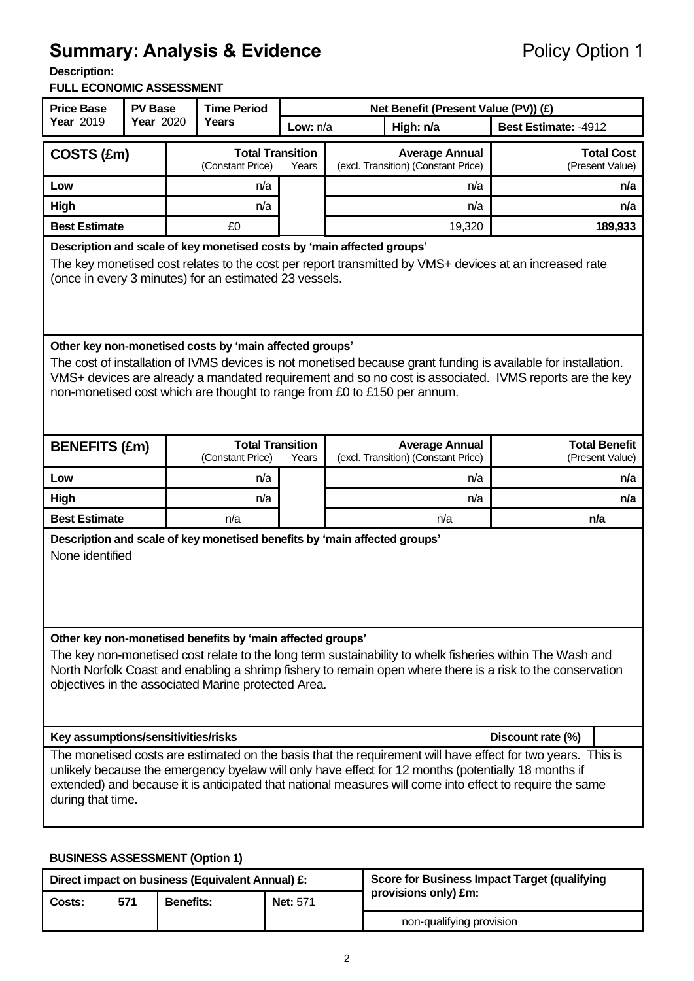# **Summary: Analysis & Evidence** Policy Option 1

**Description:** 

#### **FULL ECONOMIC ASSESSMENT**

| <b>Price Base</b><br><b>PV Base</b>                                                                                                                                                                                                                                                                                                                             |  |                                                      | <b>Time Period</b>                          |       | Net Benefit (Present Value (PV)) (£)                         |        |                                      |                                         |  |
|-----------------------------------------------------------------------------------------------------------------------------------------------------------------------------------------------------------------------------------------------------------------------------------------------------------------------------------------------------------------|--|------------------------------------------------------|---------------------------------------------|-------|--------------------------------------------------------------|--------|--------------------------------------|-----------------------------------------|--|
| <b>Year 2019</b>                                                                                                                                                                                                                                                                                                                                                |  | <b>Year 2020</b><br>Years<br>Low: $n/a$<br>High: n/a |                                             |       | Best Estimate: -4912                                         |        |                                      |                                         |  |
| COSTS (£m)                                                                                                                                                                                                                                                                                                                                                      |  |                                                      | <b>Total Transition</b><br>(Constant Price) | Years | <b>Average Annual</b><br>(excl. Transition) (Constant Price) |        | <b>Total Cost</b><br>(Present Value) |                                         |  |
| Low                                                                                                                                                                                                                                                                                                                                                             |  |                                                      | n/a                                         |       | n/a                                                          |        |                                      | n/a                                     |  |
| <b>High</b>                                                                                                                                                                                                                                                                                                                                                     |  |                                                      | n/a                                         |       | n/a                                                          |        |                                      | n/a                                     |  |
| <b>Best Estimate</b>                                                                                                                                                                                                                                                                                                                                            |  |                                                      | £0                                          |       |                                                              | 19,320 |                                      | 189,933                                 |  |
| Description and scale of key monetised costs by 'main affected groups'<br>The key monetised cost relates to the cost per report transmitted by VMS+ devices at an increased rate<br>(once in every 3 minutes) for an estimated 23 vessels.                                                                                                                      |  |                                                      |                                             |       |                                                              |        |                                      |                                         |  |
| Other key non-monetised costs by 'main affected groups'<br>The cost of installation of IVMS devices is not monetised because grant funding is available for installation.<br>VMS+ devices are already a mandated requirement and so no cost is associated. IVMS reports are the key<br>non-monetised cost which are thought to range from £0 to £150 per annum. |  |                                                      |                                             |       |                                                              |        |                                      |                                         |  |
| <b>BENEFITS (£m)</b>                                                                                                                                                                                                                                                                                                                                            |  |                                                      | <b>Total Transition</b><br>(Constant Price) | Years | <b>Average Annual</b><br>(excl. Transition) (Constant Price) |        |                                      | <b>Total Benefit</b><br>(Present Value) |  |
| Low                                                                                                                                                                                                                                                                                                                                                             |  |                                                      | n/a                                         |       | n/a                                                          |        |                                      | n/a                                     |  |
| High                                                                                                                                                                                                                                                                                                                                                            |  |                                                      | n/a                                         |       | n/a                                                          |        |                                      | n/a                                     |  |
| <b>Best Estimate</b>                                                                                                                                                                                                                                                                                                                                            |  |                                                      | n/a                                         |       |                                                              | n/a    |                                      | n/a                                     |  |
| Description and scale of key monetised benefits by 'main affected groups'<br>None identified                                                                                                                                                                                                                                                                    |  |                                                      |                                             |       |                                                              |        |                                      |                                         |  |
| Other key non-monetised benefits by 'main affected groups'<br>The key non-monetised cost relate to the long term sustainability to whelk fisheries within The Wash and<br>North Norfolk Coast and enabling a shrimp fishery to remain open where there is a risk to the conservation<br>objectives in the associated Marine protected Area.                     |  |                                                      |                                             |       |                                                              |        |                                      |                                         |  |
| Key assumptions/sensitivities/risks<br>Discount rate (%)                                                                                                                                                                                                                                                                                                        |  |                                                      |                                             |       |                                                              |        |                                      |                                         |  |
| The monetised costs are estimated on the basis that the requirement will have effect for two years. This is<br>unlikely because the emergency byelaw will only have effect for 12 months (potentially 18 months if<br>extended) and because it is anticipated that national measures will come into effect to require the same<br>during that time.             |  |                                                      |                                             |       |                                                              |        |                                      |                                         |  |

#### **BUSINESS ASSESSMENT (Option 1)**

| Direct impact on business (Equivalent Annual) £: |     |                  |                 | <b>Score for Business Impact Target (qualifying</b> |  |
|--------------------------------------------------|-----|------------------|-----------------|-----------------------------------------------------|--|
| Costs:                                           | 571 | <b>Benefits:</b> | <b>Net: 571</b> | provisions only) £m:                                |  |
|                                                  |     |                  |                 | non-qualifying provision                            |  |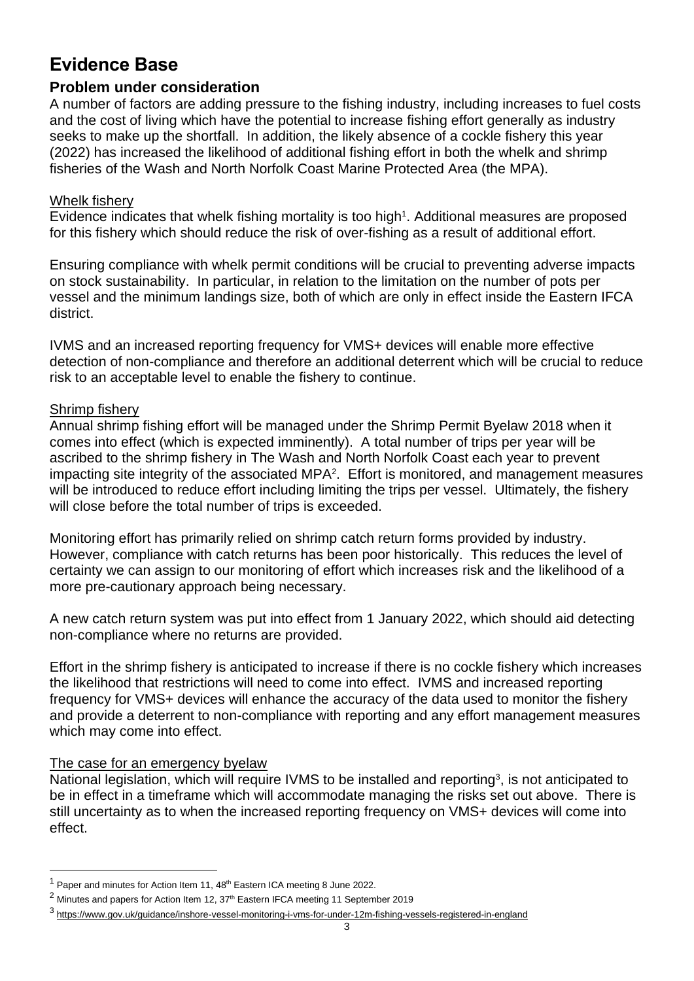## **Evidence Base**

## **Problem under consideration**

A number of factors are adding pressure to the fishing industry, including increases to fuel costs and the cost of living which have the potential to increase fishing effort generally as industry seeks to make up the shortfall. In addition, the likely absence of a cockle fishery this year (2022) has increased the likelihood of additional fishing effort in both the whelk and shrimp fisheries of the Wash and North Norfolk Coast Marine Protected Area (the MPA).

#### Whelk fishery

Evidence indicates that whelk fishing mortality is too high<sup>1</sup>. Additional measures are proposed for this fishery which should reduce the risk of over-fishing as a result of additional effort.

Ensuring compliance with whelk permit conditions will be crucial to preventing adverse impacts on stock sustainability. In particular, in relation to the limitation on the number of pots per vessel and the minimum landings size, both of which are only in effect inside the Eastern IFCA district.

IVMS and an increased reporting frequency for VMS+ devices will enable more effective detection of non-compliance and therefore an additional deterrent which will be crucial to reduce risk to an acceptable level to enable the fishery to continue.

#### Shrimp fishery

Annual shrimp fishing effort will be managed under the Shrimp Permit Byelaw 2018 when it comes into effect (which is expected imminently). A total number of trips per year will be ascribed to the shrimp fishery in The Wash and North Norfolk Coast each year to prevent impacting site integrity of the associated MPA<sup>2</sup>. Effort is monitored, and management measures will be introduced to reduce effort including limiting the trips per vessel. Ultimately, the fishery will close before the total number of trips is exceeded.

Monitoring effort has primarily relied on shrimp catch return forms provided by industry. However, compliance with catch returns has been poor historically. This reduces the level of certainty we can assign to our monitoring of effort which increases risk and the likelihood of a more pre-cautionary approach being necessary.

A new catch return system was put into effect from 1 January 2022, which should aid detecting non-compliance where no returns are provided.

Effort in the shrimp fishery is anticipated to increase if there is no cockle fishery which increases the likelihood that restrictions will need to come into effect. IVMS and increased reporting frequency for VMS+ devices will enhance the accuracy of the data used to monitor the fishery and provide a deterrent to non-compliance with reporting and any effort management measures which may come into effect.

#### The case for an emergency byelaw

National legislation, which will require IVMS to be installed and reporting<sup>3</sup>, is not anticipated to be in effect in a timeframe which will accommodate managing the risks set out above. There is still uncertainty as to when the increased reporting frequency on VMS+ devices will come into effect.

 $1$  Paper and minutes for Action Item 11,  $48<sup>th</sup>$  Eastern ICA meeting 8 June 2022.

 $2$  Minutes and papers for Action Item 12, 37<sup>th</sup> Eastern IFCA meeting 11 September 2019

<sup>&</sup>lt;sup>3</sup> <https://www.gov.uk/guidance/inshore-vessel-monitoring-i-vms-for-under-12m-fishing-vessels-registered-in-england>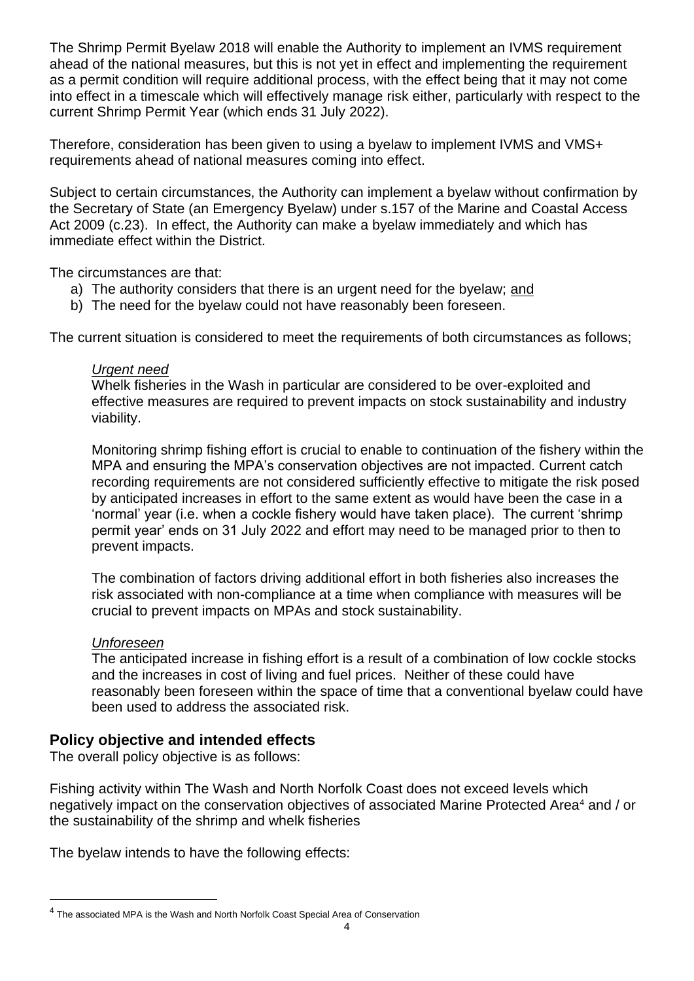The Shrimp Permit Byelaw 2018 will enable the Authority to implement an IVMS requirement ahead of the national measures, but this is not yet in effect and implementing the requirement as a permit condition will require additional process, with the effect being that it may not come into effect in a timescale which will effectively manage risk either, particularly with respect to the current Shrimp Permit Year (which ends 31 July 2022).

Therefore, consideration has been given to using a byelaw to implement IVMS and VMS+ requirements ahead of national measures coming into effect.

Subject to certain circumstances, the Authority can implement a byelaw without confirmation by the Secretary of State (an Emergency Byelaw) under s.157 of the Marine and Coastal Access Act 2009 (c.23). In effect, the Authority can make a byelaw immediately and which has immediate effect within the District.

The circumstances are that:

- a) The authority considers that there is an urgent need for the byelaw; and
- b) The need for the byelaw could not have reasonably been foreseen.

The current situation is considered to meet the requirements of both circumstances as follows;

#### *Urgent need*

Whelk fisheries in the Wash in particular are considered to be over-exploited and effective measures are required to prevent impacts on stock sustainability and industry viability.

Monitoring shrimp fishing effort is crucial to enable to continuation of the fishery within the MPA and ensuring the MPA's conservation objectives are not impacted. Current catch recording requirements are not considered sufficiently effective to mitigate the risk posed by anticipated increases in effort to the same extent as would have been the case in a 'normal' year (i.e. when a cockle fishery would have taken place). The current 'shrimp permit year' ends on 31 July 2022 and effort may need to be managed prior to then to prevent impacts.

The combination of factors driving additional effort in both fisheries also increases the risk associated with non-compliance at a time when compliance with measures will be crucial to prevent impacts on MPAs and stock sustainability.

#### *Unforeseen*

The anticipated increase in fishing effort is a result of a combination of low cockle stocks and the increases in cost of living and fuel prices. Neither of these could have reasonably been foreseen within the space of time that a conventional byelaw could have been used to address the associated risk.

## **Policy objective and intended effects**

The overall policy objective is as follows:

Fishing activity within The Wash and North Norfolk Coast does not exceed levels which negatively impact on the conservation objectives of associated Marine Protected Area<sup>4</sup> and / or the sustainability of the shrimp and whelk fisheries

The byelaw intends to have the following effects:

<sup>&</sup>lt;sup>4</sup> The associated MPA is the Wash and North Norfolk Coast Special Area of Conservation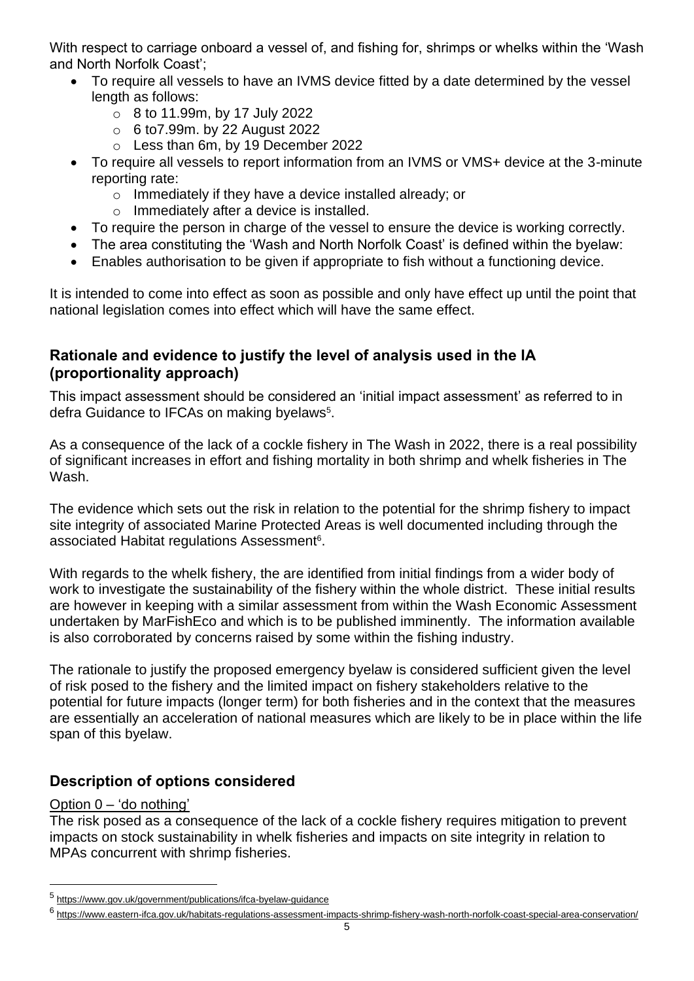With respect to carriage onboard a vessel of, and fishing for, shrimps or whelks within the 'Wash and North Norfolk Coast';

- To require all vessels to have an IVMS device fitted by a date determined by the vessel length as follows:
	- o 8 to 11.99m, by 17 July 2022
	- $\circ$  6 to 7.99m. by 22 August 2022
	- o Less than 6m, by 19 December 2022
- To require all vessels to report information from an IVMS or VMS+ device at the 3-minute reporting rate:
	- o Immediately if they have a device installed already; or
	- o Immediately after a device is installed.
- To require the person in charge of the vessel to ensure the device is working correctly.
- The area constituting the 'Wash and North Norfolk Coast' is defined within the byelaw:
- Enables authorisation to be given if appropriate to fish without a functioning device.

It is intended to come into effect as soon as possible and only have effect up until the point that national legislation comes into effect which will have the same effect.

## **Rationale and evidence to justify the level of analysis used in the IA (proportionality approach)**

This impact assessment should be considered an 'initial impact assessment' as referred to in defra Guidance to IFCAs on making byelaws<sup>5</sup>.

As a consequence of the lack of a cockle fishery in The Wash in 2022, there is a real possibility of significant increases in effort and fishing mortality in both shrimp and whelk fisheries in The Wash.

The evidence which sets out the risk in relation to the potential for the shrimp fishery to impact site integrity of associated Marine Protected Areas is well documented including through the associated Habitat regulations Assessment<sup>6</sup>.

With regards to the whelk fishery, the are identified from initial findings from a wider body of work to investigate the sustainability of the fishery within the whole district. These initial results are however in keeping with a similar assessment from within the Wash Economic Assessment undertaken by MarFishEco and which is to be published imminently. The information available is also corroborated by concerns raised by some within the fishing industry.

The rationale to justify the proposed emergency byelaw is considered sufficient given the level of risk posed to the fishery and the limited impact on fishery stakeholders relative to the potential for future impacts (longer term) for both fisheries and in the context that the measures are essentially an acceleration of national measures which are likely to be in place within the life span of this byelaw.

## **Description of options considered**

## Option 0 – 'do nothing'

The risk posed as a consequence of the lack of a cockle fishery requires mitigation to prevent impacts on stock sustainability in whelk fisheries and impacts on site integrity in relation to MPAs concurrent with shrimp fisheries.

<sup>5</sup> <https://www.gov.uk/government/publications/ifca-byelaw-guidance>

<sup>&</sup>lt;sup>6</sup> <https://www.eastern-ifca.gov.uk/habitats-regulations-assessment-impacts-shrimp-fishery-wash-north-norfolk-coast-special-area-conservation/>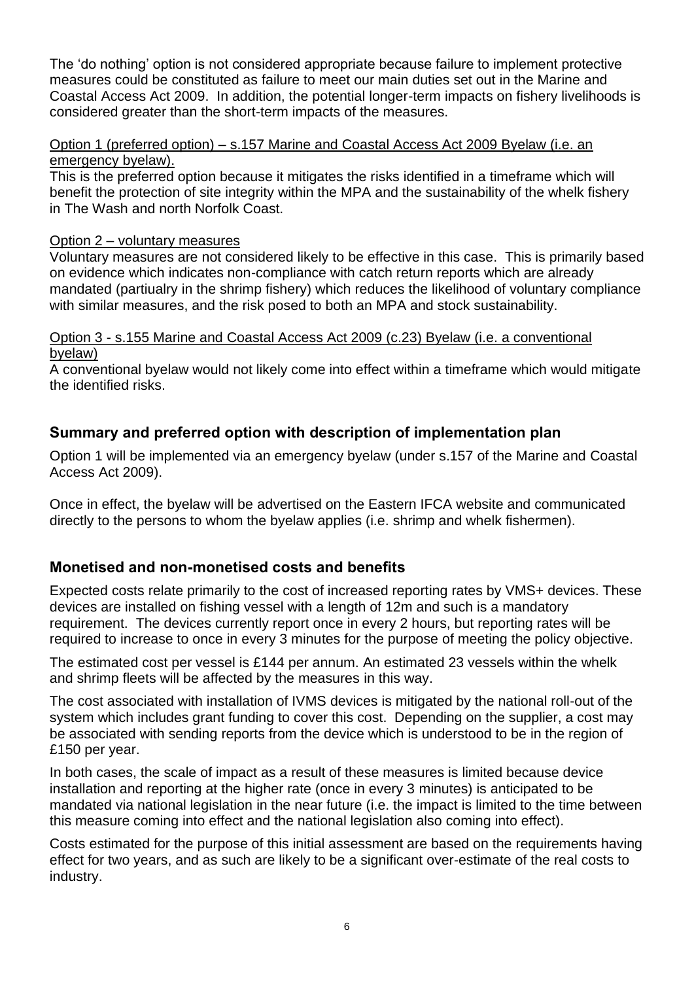The 'do nothing' option is not considered appropriate because failure to implement protective measures could be constituted as failure to meet our main duties set out in the Marine and Coastal Access Act 2009. In addition, the potential longer-term impacts on fishery livelihoods is considered greater than the short-term impacts of the measures.

#### Option 1 (preferred option) – s.157 Marine and Coastal Access Act 2009 Byelaw (i.e. an emergency byelaw).

This is the preferred option because it mitigates the risks identified in a timeframe which will benefit the protection of site integrity within the MPA and the sustainability of the whelk fishery in The Wash and north Norfolk Coast.

#### Option 2 – voluntary measures

Voluntary measures are not considered likely to be effective in this case. This is primarily based on evidence which indicates non-compliance with catch return reports which are already mandated (partiualry in the shrimp fishery) which reduces the likelihood of voluntary compliance with similar measures, and the risk posed to both an MPA and stock sustainability.

#### Option 3 - s.155 Marine and Coastal Access Act 2009 (c.23) Byelaw (i.e. a conventional byelaw)

A conventional byelaw would not likely come into effect within a timeframe which would mitigate the identified risks.

## **Summary and preferred option with description of implementation plan**

Option 1 will be implemented via an emergency byelaw (under s.157 of the Marine and Coastal Access Act 2009).

Once in effect, the byelaw will be advertised on the Eastern IFCA website and communicated directly to the persons to whom the byelaw applies (i.e. shrimp and whelk fishermen).

## **Monetised and non-monetised costs and benefits**

Expected costs relate primarily to the cost of increased reporting rates by VMS+ devices. These devices are installed on fishing vessel with a length of 12m and such is a mandatory requirement. The devices currently report once in every 2 hours, but reporting rates will be required to increase to once in every 3 minutes for the purpose of meeting the policy objective.

The estimated cost per vessel is £144 per annum. An estimated 23 vessels within the whelk and shrimp fleets will be affected by the measures in this way.

The cost associated with installation of IVMS devices is mitigated by the national roll-out of the system which includes grant funding to cover this cost. Depending on the supplier, a cost may be associated with sending reports from the device which is understood to be in the region of £150 per year.

In both cases, the scale of impact as a result of these measures is limited because device installation and reporting at the higher rate (once in every 3 minutes) is anticipated to be mandated via national legislation in the near future (i.e. the impact is limited to the time between this measure coming into effect and the national legislation also coming into effect).

Costs estimated for the purpose of this initial assessment are based on the requirements having effect for two years, and as such are likely to be a significant over-estimate of the real costs to industry.